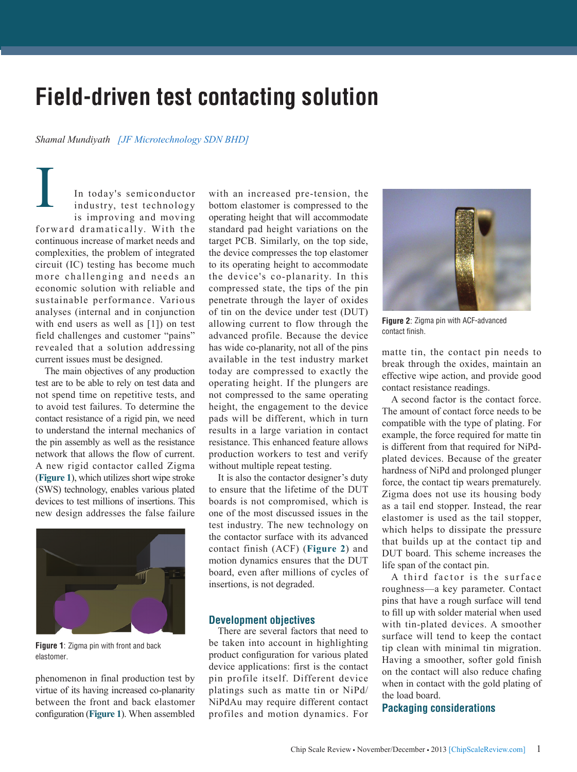# **Field-driven test contacting solution**

## *Shamal Mundiyath [JF Microtechnology SDN BHD]*

In today's semiconductor industry, test technology is improving and moving forward dramatically. With the continuous increase of market needs and complexities, the problem of integrated circuit (IC) testing has become much more challenging and needs an economic solution with reliable and sustainable performance. Various analyses (internal and in conjunction with end users as well as [1]) on test field challenges and customer "pains" revealed that a solution addressing current issues must be designed. I

The main objectives of any production test are to be able to rely on test data and not spend time on repetitive tests, and to avoid test failures. To determine the contact resistance of a rigid pin, we need to understand the internal mechanics of the pin assembly as well as the resistance network that allows the flow of current. A new rigid contactor called Zigma (**Figure 1**), which utilizes short wipe stroke (SWS) technology, enables various plated devices to test millions of insertions. This new design addresses the false failure



**Figure 1**: Zigma pin with front and back elastomer.

phenomenon in final production test by virtue of its having increased co-planarity between the front and back elastomer configuration (**Figure 1**). When assembled with an increased pre-tension, the bottom elastomer is compressed to the operating height that will accommodate standard pad height variations on the target PCB. Similarly, on the top side, the device compresses the top elastomer to its operating height to accommodate the device's co-planarity. In this compressed state, the tips of the pin penetrate through the layer of oxides of tin on the device under test (DUT) allowing current to flow through the advanced profile. Because the device has wide co-planarity, not all of the pins available in the test industry market today are compressed to exactly the operating height. If the plungers are not compressed to the same operating height, the engagement to the device pads will be different, which in turn results in a large variation in contact resistance. This enhanced feature allows production workers to test and verify without multiple repeat testing.

It is also the contactor designer's duty to ensure that the lifetime of the DUT boards is not compromised, which is one of the most discussed issues in the test industry. The new technology on the contactor surface with its advanced contact finish (ACF) (**Figure 2**) and motion dynamics ensures that the DUT board, even after millions of cycles of insertions, is not degraded.

## **Development objectives**

There are several factors that need to be taken into account in highlighting product configuration for various plated device applications: first is the contact pin profile itself. Different device platings such as matte tin or NiPd/ NiPdAu may require different contact profiles and motion dynamics. For



**Figure 2**: Zigma pin with ACF-advanced contact finish.

matte tin, the contact pin needs to break through the oxides, maintain an effective wipe action, and provide good contact resistance readings.

A second factor is the contact force. The amount of contact force needs to be compatible with the type of plating. For example, the force required for matte tin is different from that required for NiPdplated devices. Because of the greater hardness of NiPd and prolonged plunger force, the contact tip wears prematurely. Zigma does not use its housing body as a tail end stopper. Instead, the rear elastomer is used as the tail stopper, which helps to dissipate the pressure that builds up at the contact tip and DUT board. This scheme increases the life span of the contact pin.

A third factor is the surface roughness—a key parameter. Contact pins that have a rough surface will tend to fill up with solder material when used with tin-plated devices. A smoother surface will tend to keep the contact tip clean with minimal tin migration. Having a smoother, softer gold finish on the contact will also reduce chafing when in contact with the gold plating of the load board.

# **Packaging considerations**